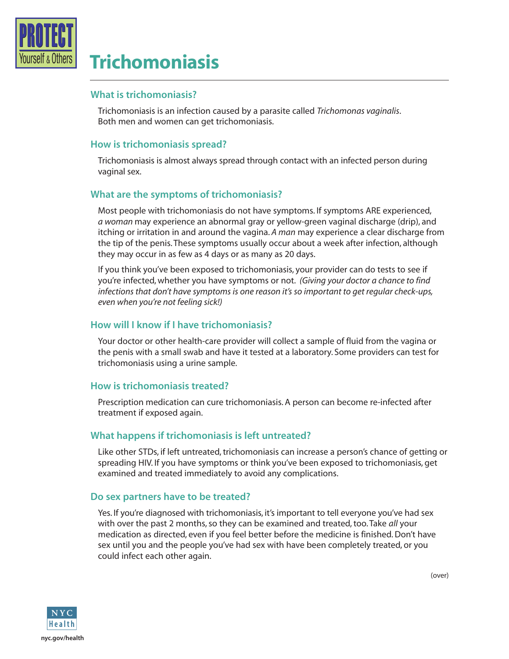

# **Trichomoniasis**

#### **What is trichomoniasis?**

Trichomoniasis is an infection caused by a parasite called *Trichomonas vaginalis*. Both men and women can get trichomoniasis.

## **How is trichomoniasis spread?**

Trichomoniasis is almost always spread through contact with an infected person during vaginal sex.

# **What are the symptoms of trichomoniasis?**

Most people with trichomoniasis do not have symptoms. If symptoms ARE experienced, *a woman* may experience an abnormal gray or yellow-green vaginal discharge (drip), and itching or irritation in and around the vagina. *A man* may experience a clear discharge from the tip of the penis. These symptoms usually occur about a week after infection, although they may occur in as few as 4 days or as many as 20 days.

If you think you've been exposed to trichomoniasis, your provider can do tests to see if you're infected, whether you have symptoms or not. *(Giving your doctor a chance to find infections that don't have symptoms is one reason it's so important to get regular check-ups, even when you're not feeling sick!)* 

### **How will I know if I have trichomoniasis?**

Your doctor or other health-care provider will collect a sample of fluid from the vagina or the penis with a small swab and have it tested at a laboratory. Some providers can test for trichomoniasis using a urine sample.

### **How is trichomoniasis treated?**

Prescription medication can cure trichomoniasis. A person can become re-infected after treatment if exposed again.

### **What happens if trichomoniasis is left untreated?**

Like other STDs, if left untreated, trichomoniasis can increase a person's chance of getting or spreading HIV. If you have symptoms or think you've been exposed to trichomoniasis, get examined and treated immediately to avoid any complications.

### **Do sex partners have to be treated?**

Yes. If you're diagnosed with trichomoniasis, it's important to tell everyone you've had sex with over the past 2 months, so they can be examined and treated, too. Take *all* your medication as directed, even if you feel better before the medicine is finished. Don't have sex until you and the people you've had sex with have been completely treated, or you could infect each other again.